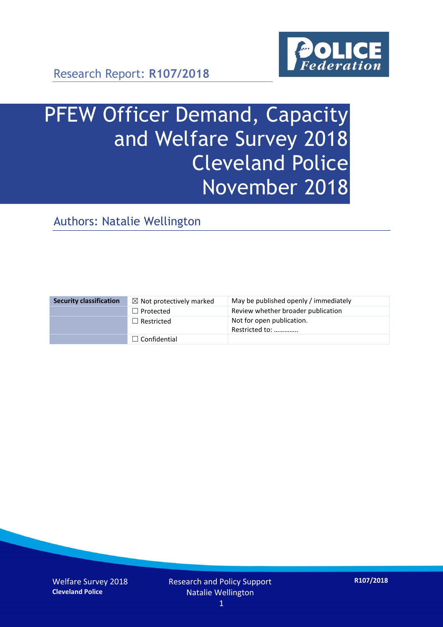

Research Report: **R107/2018**

# PFEW Officer Demand, Capacity and Welfare Survey 2018 Cleveland Police November 2018

Authors: Natalie Wellington

| <b>Security classification</b> | $\boxtimes$ Not protectively marked | May be published openly / immediately       |
|--------------------------------|-------------------------------------|---------------------------------------------|
|                                | $\Box$ Protected                    | Review whether broader publication          |
|                                | $\Box$ Restricted                   | Not for open publication.<br>Restricted to: |
|                                | $\Box$ Confidential                 |                                             |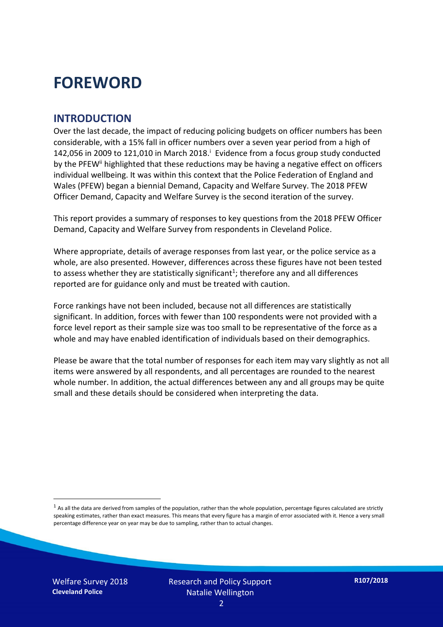## **FOREWORD**

#### **INTRODUCTION**

Over the last decade, the impact of reducing policing budgets on officer numbers has been considerable, with a 15% fall in officer numbers over a seven year period from a high of 142,056 in 2009 to 121,010 in March 2018. $^{\mathrm{i}}$  Evidence from a focus group study conducted by the PFEW<sup>ii</sup> highlighted that these reductions may be having a negative effect on officers individual wellbeing. It was within this context that the Police Federation of England and Wales (PFEW) began a biennial Demand, Capacity and Welfare Survey. The 2018 PFEW Officer Demand, Capacity and Welfare Survey is the second iteration of the survey.

This report provides a summary of responses to key questions from the 2018 PFEW Officer Demand, Capacity and Welfare Survey from respondents in Cleveland Police.

Where appropriate, details of average responses from last year, or the police service as a whole, are also presented. However, differences across these figures have not been tested to assess whether they are statistically significant<sup>1</sup>; therefore any and all differences reported are for guidance only and must be treated with caution.

Force rankings have not been included, because not all differences are statistically significant. In addition, forces with fewer than 100 respondents were not provided with a force level report as their sample size was too small to be representative of the force as a whole and may have enabled identification of individuals based on their demographics.

Please be aware that the total number of responses for each item may vary slightly as not all items were answered by all respondents, and all percentages are rounded to the nearest whole number. In addition, the actual differences between any and all groups may be quite small and these details should be considered when interpreting the data.

-

 $<sup>1</sup>$  As all the data are derived from samples of the population, rather than the whole population, percentage figures calculated are strictly</sup> speaking estimates, rather than exact measures. This means that every figure has a margin of error associated with it. Hence a very small percentage difference year on year may be due to sampling, rather than to actual changes.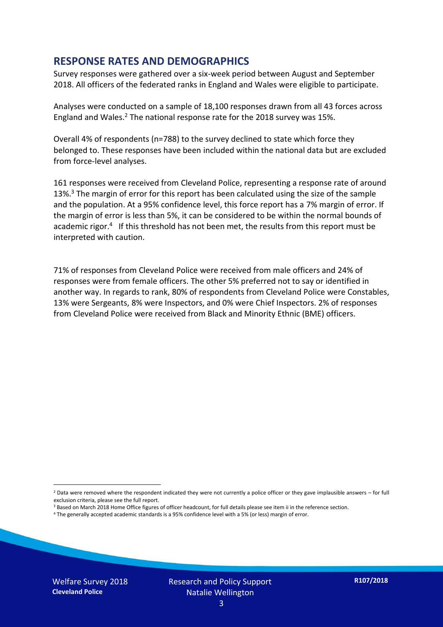#### **RESPONSE RATES AND DEMOGRAPHICS**

Survey responses were gathered over a six-week period between August and September 2018. All officers of the federated ranks in England and Wales were eligible to participate.

Analyses were conducted on a sample of 18,100 responses drawn from all 43 forces across England and Wales.<sup>2</sup> The national response rate for the 2018 survey was 15%.

Overall 4% of respondents (n=788) to the survey declined to state which force they belonged to. These responses have been included within the national data but are excluded from force-level analyses.

161 responses were received from Cleveland Police, representing a response rate of around 13%.<sup>3</sup> The margin of error for this report has been calculated using the size of the sample and the population. At a 95% confidence level, this force report has a 7% margin of error. If the margin of error is less than 5%, it can be considered to be within the normal bounds of academic rigor.<sup>4</sup> If this threshold has not been met, the results from this report must be interpreted with caution.

71% of responses from Cleveland Police were received from male officers and 24% of responses were from female officers. The other 5% preferred not to say or identified in another way. In regards to rank, 80% of respondents from Cleveland Police were Constables, 13% were Sergeants, 8% were Inspectors, and 0% were Chief Inspectors. 2% of responses from Cleveland Police were received from Black and Minority Ethnic (BME) officers.

-

 $2$  Data were removed where the respondent indicated they were not currently a police officer or they gave implausible answers – for full exclusion criteria, please see the full report.

<sup>3</sup> Based on March 2018 Home Office figures of officer headcount, for full details please see item ii in the reference section.

<sup>4</sup> The generally accepted academic standards is a 95% confidence level with a 5% (or less) margin of error.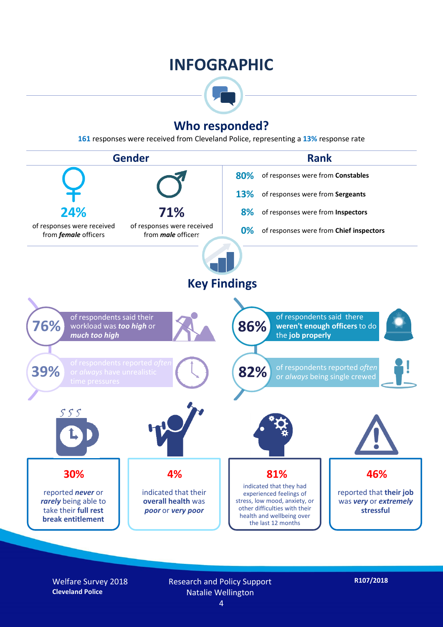## **INFOGRAPHIC**



### **Who responded?**

**161** responses were received from Cleveland Police, representing a **13%** response rate



Welfare Survey 2018 **Cleveland Police**

Research and Policy Support Natalie Wellington

**R107/2018**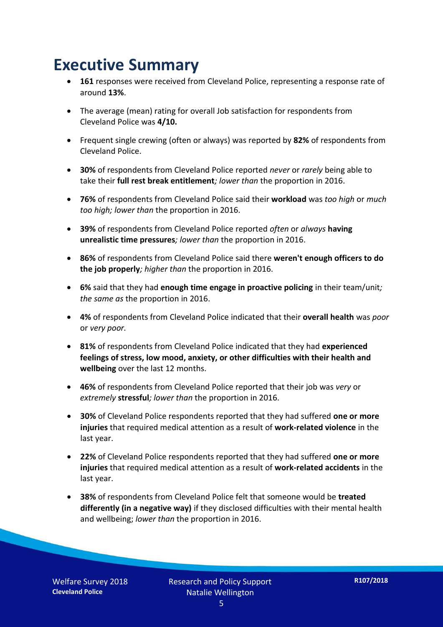## **Executive Summary**

- **161** responses were received from Cleveland Police, representing a response rate of around **13%**.
- The average (mean) rating for overall Job satisfaction for respondents from Cleveland Police was **4/10.**
- Frequent single crewing (often or always) was reported by **82%** of respondents from Cleveland Police.
- **30%** of respondents from Cleveland Police reported *never* or *rarely* being able to take their **full rest break entitlement***; lower than* the proportion in 2016.
- **76%** of respondents from Cleveland Police said their **workload** was *too high* or *much too high; lower than* the proportion in 2016.
- **39%** of respondents from Cleveland Police reported *often* or *always* **having unrealistic time pressures***; lower than* the proportion in 2016.
- **86%** of respondents from Cleveland Police said there **weren't enough officers to do the job properly***; higher than* the proportion in 2016.
- **6%** said that they had **enough time engage in proactive policing** in their team/unit*; the same as* the proportion in 2016.
- **4%** of respondents from Cleveland Police indicated that their **overall health** was *poor* or *very poor.*
- **81%** of respondents from Cleveland Police indicated that they had **experienced feelings of stress, low mood, anxiety, or other difficulties with their health and wellbeing** over the last 12 months.
- **46%** of respondents from Cleveland Police reported that their job was *very* or *extremely* **stressful***; lower than* the proportion in 2016.
- **30%** of Cleveland Police respondents reported that they had suffered **one or more injuries** that required medical attention as a result of **work-related violence** in the last year.
- **22%** of Cleveland Police respondents reported that they had suffered **one or more injuries** that required medical attention as a result of **work-related accidents** in the last year.
- **38%** of respondents from Cleveland Police felt that someone would be **treated differently (in a negative way)** if they disclosed difficulties with their mental health and wellbeing; *lower than* the proportion in 2016.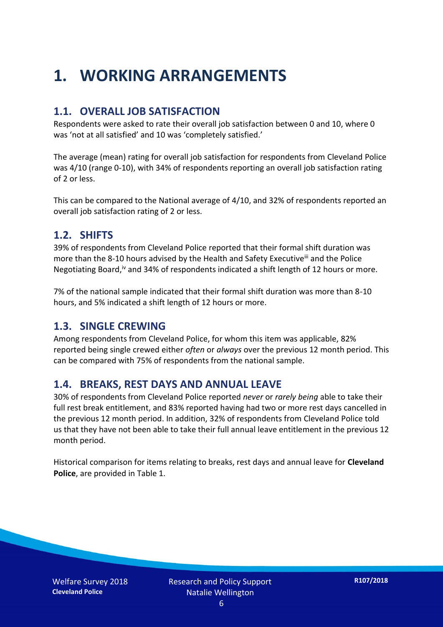## **1. WORKING ARRANGEMENTS**

#### **1.1. OVERALL JOB SATISFACTION**

Respondents were asked to rate their overall job satisfaction between 0 and 10, where 0 was 'not at all satisfied' and 10 was 'completely satisfied.'

The average (mean) rating for overall job satisfaction for respondents from Cleveland Police was 4/10 (range 0-10), with 34% of respondents reporting an overall job satisfaction rating of 2 or less.

This can be compared to the National average of 4/10, and 32% of respondents reported an overall job satisfaction rating of 2 or less.

#### **1.2. SHIFTS**

39% of respondents from Cleveland Police reported that their formal shift duration was more than the 8-10 hours advised by the Health and Safety Executive<sup>iii</sup> and the Police Negotiating Board,<sup>iv</sup> and 34% of respondents indicated a shift length of 12 hours or more.

7% of the national sample indicated that their formal shift duration was more than 8-10 hours, and 5% indicated a shift length of 12 hours or more.

#### **1.3. SINGLE CREWING**

Among respondents from Cleveland Police, for whom this item was applicable, 82% reported being single crewed either *often* or *always* over the previous 12 month period. This can be compared with 75% of respondents from the national sample.

#### **1.4. BREAKS, REST DAYS AND ANNUAL LEAVE**

30% of respondents from Cleveland Police reported *never* or *rarely being* able to take their full rest break entitlement, and 83% reported having had two or more rest days cancelled in the previous 12 month period. In addition, 32% of respondents from Cleveland Police told us that they have not been able to take their full annual leave entitlement in the previous 12 month period.

Historical comparison for items relating to breaks, rest days and annual leave for **Cleveland Police**, are provided in Table 1.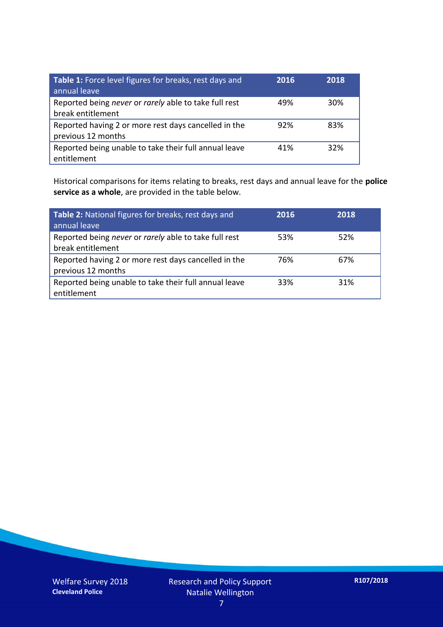| Table 1: Force level figures for breaks, rest days and<br>annual leave     | 2016 | 2018 |
|----------------------------------------------------------------------------|------|------|
| Reported being never or rarely able to take full rest<br>break entitlement | 49%  | 30%  |
| Reported having 2 or more rest days cancelled in the<br>previous 12 months | 92%  | 83%  |
| Reported being unable to take their full annual leave<br>entitlement       | 41%  | 32%  |

Historical comparisons for items relating to breaks, rest days and annual leave for the **police service as a whole**, are provided in the table below.

| Table 2: National figures for breaks, rest days and<br>annual leave        | 2016 | 2018 |
|----------------------------------------------------------------------------|------|------|
| Reported being never or rarely able to take full rest<br>break entitlement | 53%  | 52%  |
| Reported having 2 or more rest days cancelled in the<br>previous 12 months | 76%  | 67%  |
| Reported being unable to take their full annual leave<br>entitlement       | 33%  | 31%  |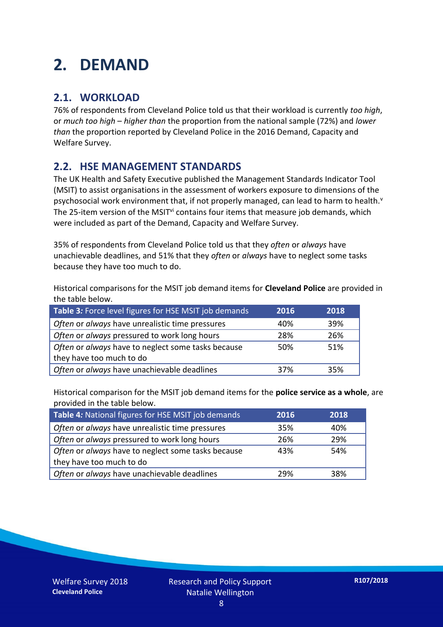## **2. DEMAND**

### **2.1. WORKLOAD**

76% of respondents from Cleveland Police told us that their workload is currently *too high*, or *much too high* – *higher than* the proportion from the national sample (72%) and *lower than* the proportion reported by Cleveland Police in the 2016 Demand, Capacity and Welfare Survey.

### **2.2. HSE MANAGEMENT STANDARDS**

The UK Health and Safety Executive published the Management Standards Indicator Tool (MSIT) to assist organisations in the assessment of workers exposure to dimensions of the psychosocial work environment that, if not properly managed, can lead to harm to health.<sup>v</sup> The 25-item version of the MSIT<sup>vi</sup> contains four items that measure job demands, which were included as part of the Demand, Capacity and Welfare Survey.

35% of respondents from Cleveland Police told us that they *often* or *always* have unachievable deadlines, and 51% that they *often* or *always* have to neglect some tasks because they have too much to do.

Historical comparisons for the MSIT job demand items for **Cleveland Police** are provided in the table below.

| Table 3: Force level figures for HSE MSIT job demands | 2016 | 2018 |
|-------------------------------------------------------|------|------|
| Often or always have unrealistic time pressures       | 40%  | 39%  |
| Often or always pressured to work long hours          | 28%  | 26%  |
| Often or always have to neglect some tasks because    | 50%  | 51%  |
| they have too much to do                              |      |      |
| Often or always have unachievable deadlines           | 37%  | 35%  |

Historical comparison for the MSIT job demand items for the **police service as a whole**, are provided in the table below.

| Table 4: National figures for HSE MSIT job demands | 2016 | 2018 |
|----------------------------------------------------|------|------|
| Often or always have unrealistic time pressures    | 35%  | 40%  |
| Often or always pressured to work long hours       | 26%  | 29%  |
| Often or always have to neglect some tasks because | 43%  | 54%  |
| they have too much to do                           |      |      |
| Often or always have unachievable deadlines        | 29%  | 38%  |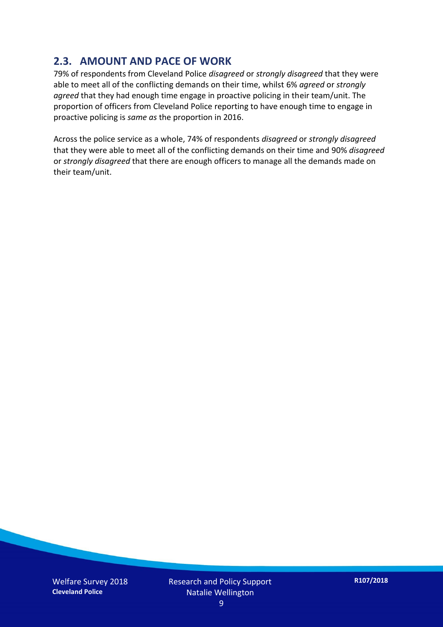### **2.3. AMOUNT AND PACE OF WORK**

79% of respondents from Cleveland Police *disagreed* or *strongly disagreed* that they were able to meet all of the conflicting demands on their time, whilst 6% *agreed* or *strongly agreed* that they had enough time engage in proactive policing in their team/unit. The proportion of officers from Cleveland Police reporting to have enough time to engage in proactive policing is *same as* the proportion in 2016.

Across the police service as a whole, 74% of respondents *disagreed* or *strongly disagreed* that they were able to meet all of the conflicting demands on their time and 90% *disagreed* or *strongly disagreed* that there are enough officers to manage all the demands made on their team/unit.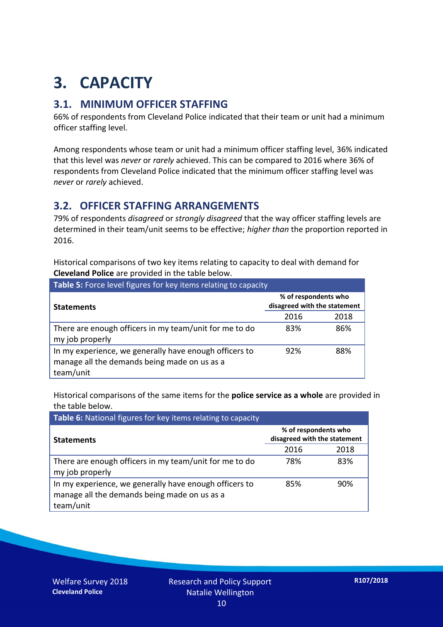## **3. CAPACITY**

### **3.1. MINIMUM OFFICER STAFFING**

66% of respondents from Cleveland Police indicated that their team or unit had a minimum officer staffing level.

Among respondents whose team or unit had a minimum officer staffing level, 36% indicated that this level was *never* or *rarely* achieved. This can be compared to 2016 where 36% of respondents from Cleveland Police indicated that the minimum officer staffing level was *never* or *rarely* achieved.

### **3.2. OFFICER STAFFING ARRANGEMENTS**

79% of respondents *disagreed* or *strongly disagreed* that the way officer staffing levels are determined in their team/unit seems to be effective; *higher than* the proportion reported in 2016.

Historical comparisons of two key items relating to capacity to deal with demand for **Cleveland Police** are provided in the table below.

| Table 5: Force level figures for key items relating to capacity                                                     |                                                      |      |  |
|---------------------------------------------------------------------------------------------------------------------|------------------------------------------------------|------|--|
| <b>Statements</b>                                                                                                   | % of respondents who<br>disagreed with the statement |      |  |
|                                                                                                                     | 2016                                                 | 2018 |  |
| There are enough officers in my team/unit for me to do<br>my job properly                                           | 83%                                                  | 86%  |  |
| In my experience, we generally have enough officers to<br>manage all the demands being made on us as a<br>team/unit | 92%                                                  | 88%  |  |

Historical comparisons of the same items for the **police service as a whole** are provided in the table below.

| Table 6: National figures for key items relating to capacity                                                        |                                                      |      |  |  |
|---------------------------------------------------------------------------------------------------------------------|------------------------------------------------------|------|--|--|
| <b>Statements</b>                                                                                                   | % of respondents who<br>disagreed with the statement |      |  |  |
|                                                                                                                     | 2016                                                 | 2018 |  |  |
| There are enough officers in my team/unit for me to do<br>my job properly                                           | 78%                                                  | 83%  |  |  |
| In my experience, we generally have enough officers to<br>manage all the demands being made on us as a<br>team/unit | 85%                                                  | 90%  |  |  |

Welfare Survey 2018 **Cleveland Police**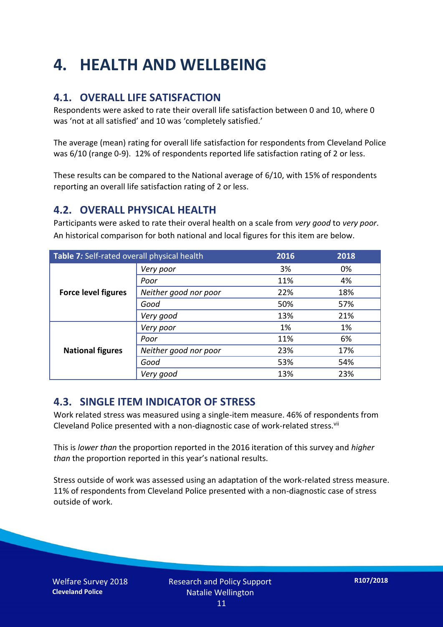## **4. HEALTH AND WELLBEING**

### **4.1. OVERALL LIFE SATISFACTION**

Respondents were asked to rate their overall life satisfaction between 0 and 10, where 0 was 'not at all satisfied' and 10 was 'completely satisfied.'

The average (mean) rating for overall life satisfaction for respondents from Cleveland Police was 6/10 (range 0-9). 12% of respondents reported life satisfaction rating of 2 or less.

These results can be compared to the National average of 6/10, with 15% of respondents reporting an overall life satisfaction rating of 2 or less.

#### **4.2. OVERALL PHYSICAL HEALTH**

Participants were asked to rate their overal health on a scale from *very good* to *very poor*. An historical comparison for both national and local figures for this item are below.

| Table 7: Self-rated overall physical health |                       | 2016 | 2018 |
|---------------------------------------------|-----------------------|------|------|
|                                             | Very poor             | 3%   | 0%   |
| <b>Force level figures</b>                  | Poor                  | 11%  | 4%   |
|                                             | Neither good nor poor | 22%  | 18%  |
|                                             | Good                  | 50%  | 57%  |
|                                             | Very good             | 13%  | 21%  |
| <b>National figures</b>                     | Very poor             | 1%   | 1%   |
|                                             | Poor                  | 11%  | 6%   |
|                                             | Neither good nor poor | 23%  | 17%  |
|                                             | Good                  | 53%  | 54%  |
|                                             | Very good             | 13%  | 23%  |

#### **4.3. SINGLE ITEM INDICATOR OF STRESS**

Work related stress was measured using a single-item measure. 46% of respondents from Cleveland Police presented with a non-diagnostic case of work-related stress.<sup>vii</sup>

This is *lower than* the proportion reported in the 2016 iteration of this survey and *higher than* the proportion reported in this year's national results.

Stress outside of work was assessed using an adaptation of the work-related stress measure. 11% of respondents from Cleveland Police presented with a non-diagnostic case of stress outside of work.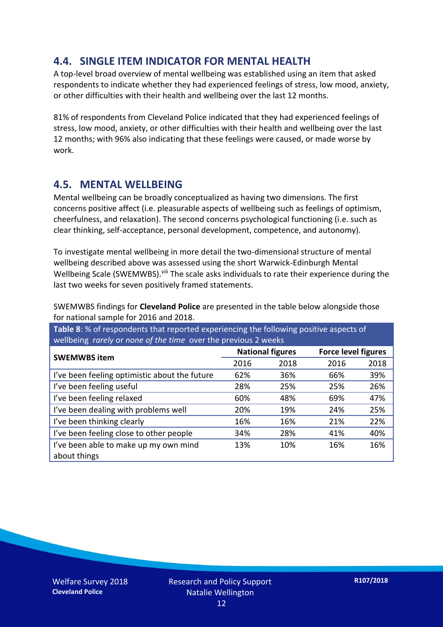### **4.4. SINGLE ITEM INDICATOR FOR MENTAL HEALTH**

A top-level broad overview of mental wellbeing was established using an item that asked respondents to indicate whether they had experienced feelings of stress, low mood, anxiety, or other difficulties with their health and wellbeing over the last 12 months.

81% of respondents from Cleveland Police indicated that they had experienced feelings of stress, low mood, anxiety, or other difficulties with their health and wellbeing over the last 12 months; with 96% also indicating that these feelings were caused, or made worse by work.

#### **4.5. MENTAL WELLBEING**

Mental wellbeing can be broadly conceptualized as having two dimensions. The first concerns positive affect (i.e. pleasurable aspects of wellbeing such as feelings of optimism, cheerfulness, and relaxation). The second concerns psychological functioning (i.e. such as clear thinking, self-acceptance, personal development, competence, and autonomy).

To investigate mental wellbeing in more detail the two-dimensional structure of mental wellbeing described above was assessed using the short Warwick-Edinburgh Mental Wellbeing Scale (SWEMWBS). viii The scale asks individuals to rate their experience during the last two weeks for seven positively framed statements.

SWEMWBS findings for **Cleveland Police** are presented in the table below alongside those for national sample for 2016 and 2018.

**Table 8**: % of respondents that reported experiencing the following positive aspects of wellbeing *rarely* or *none of the time* over the previous 2 weeks

|                                               | <b>National figures</b> |      | <b>Force level figures</b> |      |
|-----------------------------------------------|-------------------------|------|----------------------------|------|
| <b>SWEMWBS item</b>                           | 2016                    | 2018 | 2016                       | 2018 |
| I've been feeling optimistic about the future | 62%                     | 36%  | 66%                        | 39%  |
| I've been feeling useful                      | 28%                     | 25%  | 25%                        | 26%  |
| I've been feeling relaxed                     | 60%                     | 48%  | 69%                        | 47%  |
| I've been dealing with problems well          | 20%                     | 19%  | 24%                        | 25%  |
| I've been thinking clearly                    | 16%                     | 16%  | 21%                        | 22%  |
| I've been feeling close to other people       | 34%                     | 28%  | 41%                        | 40%  |
| I've been able to make up my own mind         | 13%                     | 10%  | 16%                        | 16%  |
| about things                                  |                         |      |                            |      |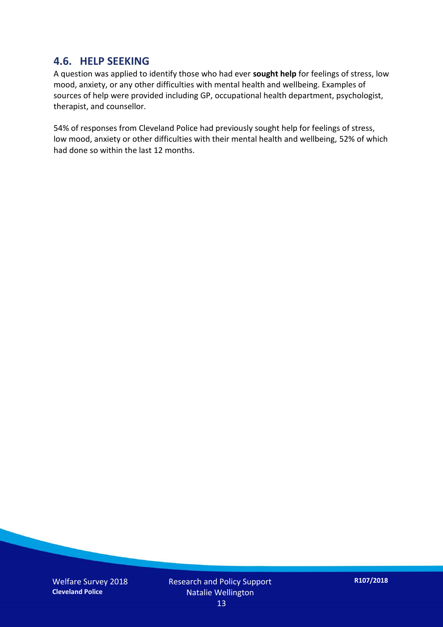#### **4.6. HELP SEEKING**

A question was applied to identify those who had ever **sought help** for feelings of stress, low mood, anxiety, or any other difficulties with mental health and wellbeing. Examples of sources of help were provided including GP, occupational health department, psychologist, therapist, and counsellor.

54% of responses from Cleveland Police had previously sought help for feelings of stress, low mood, anxiety or other difficulties with their mental health and wellbeing, 52% of which had done so within the last 12 months.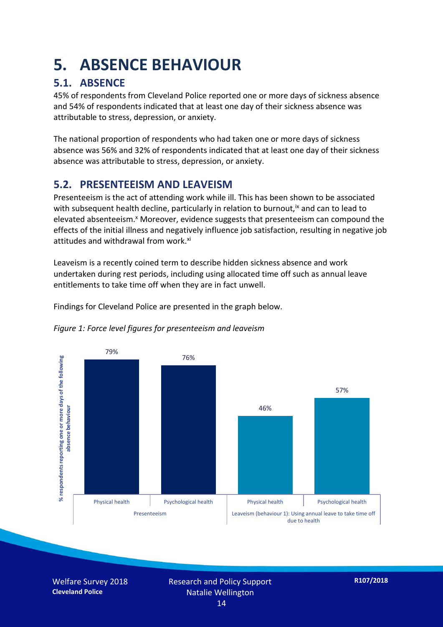## **5. ABSENCE BEHAVIOUR**

### **5.1. ABSENCE**

45% of respondents from Cleveland Police reported one or more days of sickness absence and 54% of respondents indicated that at least one day of their sickness absence was attributable to stress, depression, or anxiety.

The national proportion of respondents who had taken one or more days of sickness absence was 56% and 32% of respondents indicated that at least one day of their sickness absence was attributable to stress, depression, or anxiety.

### **5.2. PRESENTEEISM AND LEAVEISM**

Presenteeism is the act of attending work while ill. This has been shown to be associated with subsequent health decline, particularly in relation to burnout,  $\alpha$  and can to lead to elevated absenteeism.<sup>x</sup> Moreover, evidence suggests that presenteeism can compound the effects of the initial illness and negatively influence job satisfaction, resulting in negative job attitudes and withdrawal from work.<sup>xi</sup>

Leaveism is a recently coined term to describe hidden sickness absence and work undertaken during rest periods, including using allocated time off such as annual leave entitlements to take time off when they are in fact unwell.

Findings for Cleveland Police are presented in the graph below.





Welfare Survey 2018 **Cleveland Police**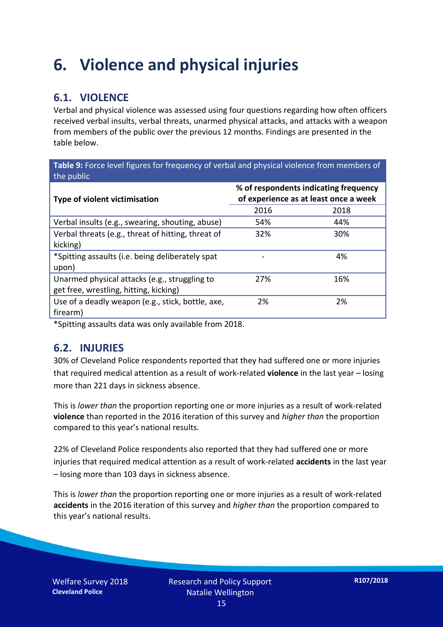## **6. Violence and physical injuries**

### **6.1. VIOLENCE**

Verbal and physical violence was assessed using four questions regarding how often officers received verbal insults, verbal threats, unarmed physical attacks, and attacks with a weapon from members of the public over the previous 12 months. Findings are presented in the table below.

**Table 9:** Force level figures for frequency of verbal and physical violence from members of the public

| <b>Type of violent victimisation</b>               | % of respondents indicating frequency<br>of experience as at least once a week |      |  |
|----------------------------------------------------|--------------------------------------------------------------------------------|------|--|
|                                                    | 2016                                                                           | 2018 |  |
| Verbal insults (e.g., swearing, shouting, abuse)   | 54%                                                                            | 44%  |  |
| Verbal threats (e.g., threat of hitting, threat of | 32%                                                                            | 30%  |  |
| kicking)                                           |                                                                                |      |  |
| *Spitting assaults (i.e. being deliberately spat   |                                                                                | 4%   |  |
| upon)                                              |                                                                                |      |  |
| Unarmed physical attacks (e.g., struggling to      | 27%                                                                            | 16%  |  |
| get free, wrestling, hitting, kicking)             |                                                                                |      |  |
| Use of a deadly weapon (e.g., stick, bottle, axe,  | 2%                                                                             | 2%   |  |
| firearm)                                           |                                                                                |      |  |

\*Spitting assaults data was only available from 2018.

#### **6.2. INJURIES**

30% of Cleveland Police respondents reported that they had suffered one or more injuries that required medical attention as a result of work-related **violence** in the last year – losing more than 221 days in sickness absence.

This is *lower than* the proportion reporting one or more injuries as a result of work-related **violence** than reported in the 2016 iteration of this survey and *higher than* the proportion compared to this year's national results.

22% of Cleveland Police respondents also reported that they had suffered one or more injuries that required medical attention as a result of work-related **accidents** in the last year – losing more than 103 days in sickness absence.

This is *lower than* the proportion reporting one or more injuries as a result of work-related **accidents** in the 2016 iteration of this survey and *higher than* the proportion compared to this year's national results.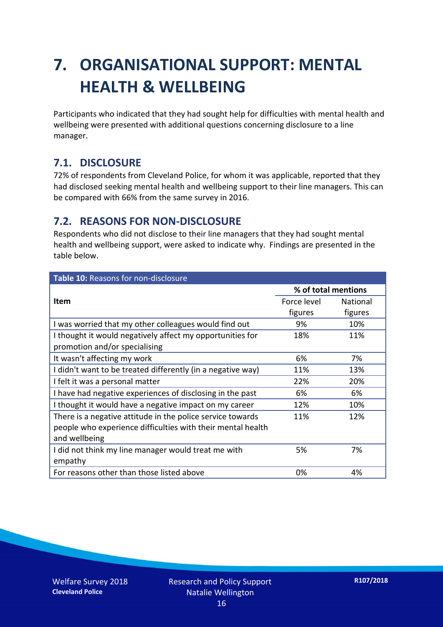## **7. ORGANISATIONAL SUPPORT: MENTAL HEALTH & WELLBEING**

Participants who indicated that they had sought help for difficulties with mental health and wellbeing were presented with additional questions concerning disclosure to a line manager.

### **7.1. DISCLOSURE**

72% of respondents from Cleveland Police, for whom it was applicable, reported that they had disclosed seeking mental health and wellbeing support to their line managers. This can be compared with 66% from the same survey in 2016.

#### **7.2. REASONS FOR NON-DISCLOSURE**

Respondents who did not disclose to their line managers that they had sought mental health and wellbeing support, were asked to indicate why. Findings are presented in the table below.

| Table 10: Reasons for non-disclosure                        |                     |                 |  |
|-------------------------------------------------------------|---------------------|-----------------|--|
|                                                             | % of total mentions |                 |  |
| Item                                                        | Force level         | <b>National</b> |  |
|                                                             | figures             | figures         |  |
| I was worried that my other colleagues would find out       | 9%                  | 10%             |  |
| I thought it would negatively affect my opportunities for   | 18%                 | 11%             |  |
| promotion and/or specialising                               |                     |                 |  |
| It wasn't affecting my work                                 | 6%                  | 7%              |  |
| I didn't want to be treated differently (in a negative way) | 11%                 | 13%             |  |
| I felt it was a personal matter                             | 22%                 | 20%             |  |
| I have had negative experiences of disclosing in the past   | 6%                  | 6%              |  |
| I thought it would have a negative impact on my career      | 12%                 | 10%             |  |
| There is a negative attitude in the police service towards  | 11%                 | 12%             |  |
| people who experience difficulties with their mental health |                     |                 |  |
| and wellbeing                                               |                     |                 |  |
| I did not think my line manager would treat me with         | 5%                  | 7%              |  |
| empathy                                                     |                     |                 |  |
| For reasons other than those listed above                   | 0%                  | 4%              |  |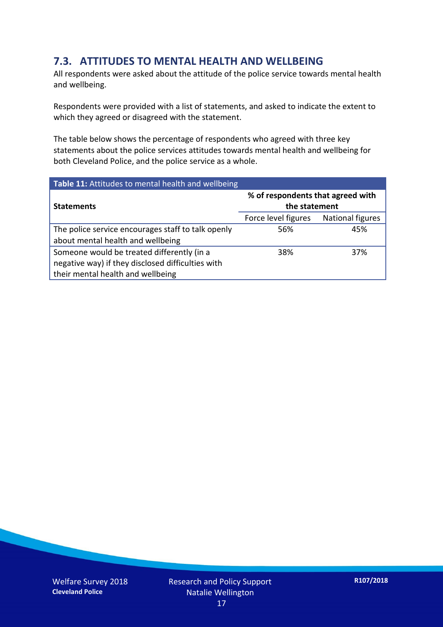### **7.3. ATTITUDES TO MENTAL HEALTH AND WELLBEING**

All respondents were asked about the attitude of the police service towards mental health and wellbeing.

Respondents were provided with a list of statements, and asked to indicate the extent to which they agreed or disagreed with the statement.

The table below shows the percentage of respondents who agreed with three key statements about the police services attitudes towards mental health and wellbeing for both Cleveland Police, and the police service as a whole.

| Table 11: Attitudes to mental health and wellbeing |                                                    |                         |
|----------------------------------------------------|----------------------------------------------------|-------------------------|
| <b>Statements</b>                                  | % of respondents that agreed with<br>the statement |                         |
|                                                    | Force level figures                                | <b>National figures</b> |
| The police service encourages staff to talk openly | 56%                                                | 45%                     |
| about mental health and wellbeing                  |                                                    |                         |
| Someone would be treated differently (in a         | 38%                                                | 37%                     |
| negative way) if they disclosed difficulties with  |                                                    |                         |
| their mental health and wellbeing                  |                                                    |                         |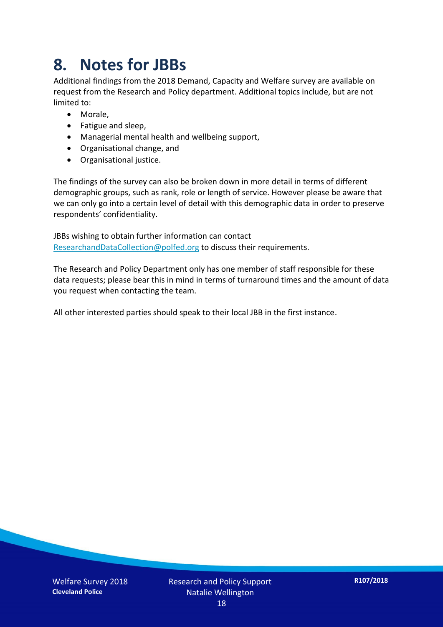## **8. Notes for JBBs**

Additional findings from the 2018 Demand, Capacity and Welfare survey are available on request from the Research and Policy department. Additional topics include, but are not limited to:

- Morale,
- Fatigue and sleep,
- Managerial mental health and wellbeing support,
- Organisational change, and
- Organisational justice.

The findings of the survey can also be broken down in more detail in terms of different demographic groups, such as rank, role or length of service. However please be aware that we can only go into a certain level of detail with this demographic data in order to preserve respondents' confidentiality.

JBBs wishing to obtain further information can contact [ResearchandDataCollection@polfed.org](mailto:ResearchandDataCollection@polfed.org) to discuss their requirements.

The Research and Policy Department only has one member of staff responsible for these data requests; please bear this in mind in terms of turnaround times and the amount of data you request when contacting the team.

All other interested parties should speak to their local JBB in the first instance.